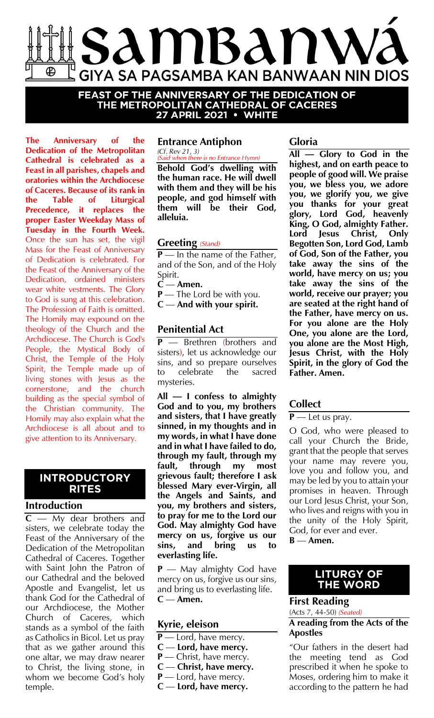

**FEAST OF THE ANNIVERSARY OF THE DEDICATION OF<br>THE METROPOLITAN CATHEDRAL OF CACERES<br>27 APRIL 2021 • WHITE** 

**The Anniversary of the Dedication of the Metropolitan Cathedral is celebrated as a Feast in all parishes, chapels and oratories within the Archdiocese of Caceres. Because of its rank in the Table of Liturgical Precedence, it replaces the proper Easter Weekday Mass of Tuesday in the Fourth Week.** Once the sun has set, the vigil Mass for the Feast of Anniversary of Dedication is celebrated. For the Feast of the Anniversary of the Dedication, ordained ministers wear white vestments. The Glory to God is sung at this celebration. The Profession of Faith is omitted. The Homily may expound on the theology of the Church and the Archdiocese. The Church is God's People, the Mystical Body of Christ, the Temple of the Holy Spirit, the Temple made up of living stones with Jesus as the cornerstone, and the church building as the special symbol of the Christian community. The Homily may also explain what the Archdiocese is all about and to give attention to its Anniversary.

# **INTRODUCTORY RITES**

### **Introduction**

**C** — My dear brothers and sisters, we celebrate today the Feast of the Anniversary of the Dedication of the Metropolitan Cathedral of Caceres. Together with Saint John the Patron of our Cathedral and the beloved Apostle and Evangelist, let us thank God for the Cathedral of our Archdiocese, the Mother Church of Caceres, which stands as a symbol of the faith as Catholics in Bicol. Let us pray that as we gather around this one altar, we may draw nearer to Christ, the living stone, in whom we become God's holy temple.

### **Entrance Antiphon** *(Cf. Rev 21, 3)*

*(Said when there is no Entrance Hymn)* **Behold God's dwelling with the human race. He will dwell with them and they will be his people, and god himself with them will be their God, alleluia.**

### **Greeting** *(Stand)*

**P** — In the name of the Father, and of the Son, and of the Holy Spirit.

- **C Amen.**
- **P** The Lord be with you.
- **C And with your spirit.**

# **Penitential Act**

**P** — Brethren (brothers and sisters), let us acknowledge our sins, and so prepare ourselves to celebrate the sacred mysteries.

**All — I confess to almighty God and to you, my brothers and sisters, that I have greatly sinned, in my thoughts and in my words, in what I have done and in what I have failed to do, through my fault, through my fault, through my most grievous fault; therefore I ask blessed Mary ever-Virgin, all the Angels and Saints, and you, my brothers and sisters, to pray for me to the Lord our God. May almighty God have mercy on us, forgive us our sins, and bring us to everlasting life.**

**P** — May almighty God have mercy on us, forgive us our sins, and bring us to everlasting life. **C** — **Amen.**

### **Kyrie, eleison**

- **P** Lord, have mercy.
- **C Lord, have mercy.**
- **P** Christ, have mercy.
- **C Christ, have mercy.**
- **P** Lord, have mercy.
- **C Lord, have mercy.**

### **Gloria**

**All — Glory to God in the highest, and on earth peace to people of good will. We praise you, we bless you, we adore you, we glorify you, we give you thanks for your great glory, Lord God, heavenly King, O God, almighty Father. Lord Jesus Christ, Only Begotten Son, Lord God, Lamb of God, Son of the Father, you take away the sins of the world, have mercy on us; you take away the sins of the world, receive our prayer; you are seated at the right hand of the Father, have mercy on us. For you alone are the Holy One, you alone are the Lord, you alone are the Most High, Jesus Christ, with the Holy Spirit, in the glory of God the Father. Amen.**

# **Collect**

### **P** — Let us pray.

O God, who were pleased to call your Church the Bride, grant that the people that serves your name may revere you, love you and follow you, and may be led by you to attain your promises in heaven. Through our Lord Jesus Christ, your Son, who lives and reigns with you in the unity of the Holy Spirit, God, for ever and ever. **B** — **Amen.**

# **LITURGY OF**

#### **THE WORLD First Reading**

(Acts 7, 44-50) *(Seated)*

### **A reading from the Acts of the Apostles**

"Our fathers in the desert had the meeting tend as God prescribed it when he spoke to Moses, ordering him to make it according to the pattern he had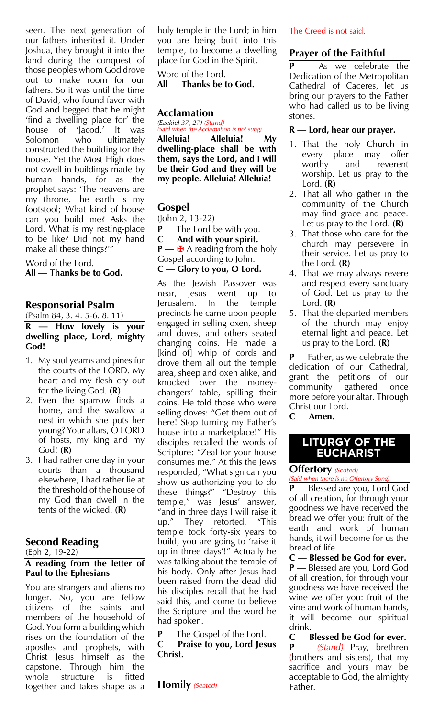seen. The next generation of our fathers inherited it. Under Joshua, they brought it into the land during the conquest of those peoples whom God drove out to make room for our fathers. So it was until the time of David, who found favor with God and begged that he might 'find a dwelling place for' the Jacod.' It was<br>who ultimately Solomon who ultimately constructed the building for the house. Yet the Most High does not dwell in buildings made by human hands, for as the prophet says: 'The heavens are my throne, the earth is my footstool; What kind of house can you build me? Asks the Lord. What is my resting-place to be like? Did not my hand make all these things?'"

Word of the Lord. **All** — **Thanks be to God.**

### **Responsorial Psalm**

### (Psalm 84, 3. 4. 5-6. 8. 11) **R — How lovely is your dwelling place, Lord, mighty God!**

- 1. My soul yearns and pines for the courts of the LORD. My heart and my flesh cry out for the living God. **(R)**
- 2. Even the sparrow finds a home, and the swallow a nest in which she puts her young? Your altars, O LORD of hosts, my king and my God! **(R)**
- 3. I had rather one day in your courts than a thousand elsewhere; I had rather lie at the threshold of the house of my God than dwell in the tents of the wicked. **(R)**

# **Second Reading**

### (Eph 2, 19-22)

### **A reading from the letter of Paul to the Ephesians**

You are strangers and aliens no longer. No, you are fellow citizens of the saints and members of the household of God. You form a building which rises on the foundation of the apostles and prophets, with Christ Jesus himself as the capstone. Through him the whole structure is fitted together and takes shape as a

holy temple in the Lord; in him you are being built into this temple, to become a dwelling place for God in the Spirit.

Word of the Lord. **All** — **Thanks be to God.**

### **Acclamation**

*(Ezekiel 37, 27) (Stand)*

*(Said when the Acclamation is not sung)* **Alleluia! Alleluia! My dwelling-place shall be with them, says the Lord, and I will be their God and they will be my people. Alleluia! Alleluia!**

# **Gospel**

(John 2, 13-22) **P** — The Lord be with you. **C** — **And with your spirit.**  $P \longrightarrow A$  areading from the holy Gospel according to John. **C** — **Glory to you, O Lord.** 

As the Jewish Passover was near, Jesus went up to Jerusalem. In the temple precincts he came upon people engaged in selling oxen, sheep and doves, and others seated changing coins. He made a [kind of] whip of cords and drove them all out the temple area, sheep and oxen alike, and knocked over the moneychangers' table, spilling their coins. He told those who were selling doves: "Get them out of here! Stop turning my Father's house into a marketplace!" His disciples recalled the words of Scripture: "Zeal for your house consumes me." At this the Jews responded, "What sign can you show us authorizing you to do these things?" "Destroy this temple," was Jesus' answer, "and in three days I will raise it up." They retorted, "This temple took forty-six years to build, you are going to 'raise it up in three days'!" Actually he was talking about the temple of his body. Only after Jesus had been raised from the dead did his disciples recall that he had said this, and come to believe the Scripture and the word he had spoken.

**P** — The Gospel of the Lord. **C** — **Praise to you, Lord Jesus Christ.**

**Homily** *(Seated)*

### The Creed is not said.

# **Prayer of the Faithful**

As we celebrate the Dedication of the Metropolitan Cathedral of Caceres, let us bring our prayers to the Father who had called us to be living stones.

### **R** — **Lord, hear our prayer.**

- 1. That the holy Church in every place may offer worthy and reverent worship. Let us pray to the Lord. **(R)**
- 2. That all who gather in the community of the Church may find grace and peace. Let us pray to the Lord. **(R)**
- 3. That those who care for the church may persevere in their service. Let us pray to the Lord. **(R)**
- 4. That we may always revere and respect every sanctuary of God. Let us pray to the Lord. **(R)**
- 5. That the departed members of the church may enjoy eternal light and peace. Let us pray to the Lord. **(R)**

**P** — Father, as we celebrate the dedication of our Cathedral, grant the petitions of our community gathered once more before your altar. Through Christ our Lord.

**C** — **Amen.**

# **LITURGY OF THE EUCHARIST**

### **Offertory** *(Seated)*

*(Said when there is no Offertory Song)* **P** — Blessed are you, Lord God of all creation, for through your goodness we have received the bread we offer you: fruit of the earth and work of human hands, it will become for us the bread of life.

**C** — **Blessed be God for ever.**

**P** — Blessed are you, Lord God of all creation, for through your goodness we have received the wine we offer you: fruit of the vine and work of human hands, it will become our spiritual drink.

**C** — **Blessed be God for ever. P** — *(Stand)* Pray, brethren (brothers and sisters), that my sacrifice and yours may be acceptable to God, the almighty Father.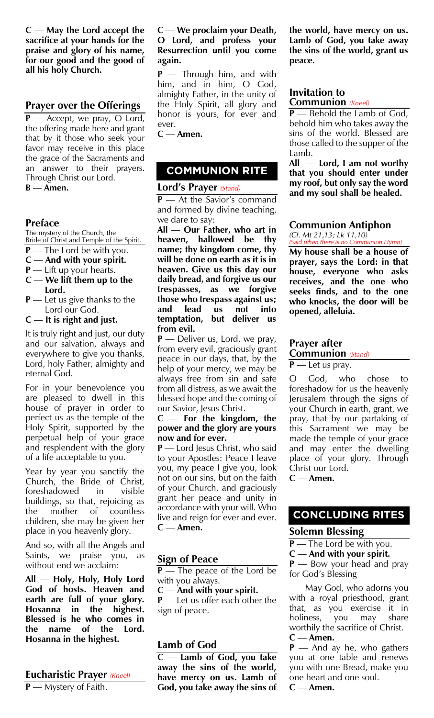**C** — **May the Lord accept the sacrifice at your hands for the praise and glory of his name, for our good and the good of all his holy Church.**

### **Prayer over the Offerings**

**P** — Accept, we pray, O Lord, the offering made here and grant that by it those who seek your favor may receive in this place the grace of the Sacraments and an answer to their prayers. Through Christ our Lord. **B** — **Amen.** 

### **Preface**

The mystery of the Church, the Bride of Christ and Temple of the Spirit.

- **P** The Lord be with you.
- **C And with your spirit.**
- **P** Lift up your hearts.
- **C We lift them up to the Lord.**
- **P** Let us give thanks to the Lord our God.
- **C It is right and just.**

It is truly right and just, our duty and our salvation, always and everywhere to give you thanks, Lord, holy Father, almighty and eternal God.

For in your benevolence you are pleased to dwell in this house of prayer in order to perfect us as the temple of the Holy Spirit, supported by the perpetual help of your grace and resplendent with the glory of a life acceptable to you.

Year by year you sanctify the Church, the Bride of Christ, foreshadowed in visible buildings, so that, rejoicing as the mother of countless children, she may be given her place in you heavenly glory.

And so, with all the Angels and Saints, we praise you, as without end we acclaim:

**All** — **Holy, Holy, Holy Lord God of hosts. Heaven and earth are full of your glory. Hosanna in the highest. Blessed is he who comes in the name of the Lord. Hosanna in the highest.**

# **Eucharistic Prayer** *(Kneel)* **P** — Mystery of Faith.

#### **C** — **We proclaim your Death, O Lord, and profess your Resurrection until you come again.**

**P** — Through him, and with him, and in him, O God, almighty Father, in the unity of the Holy Spirit, all glory and honor is yours, for ever and ever.

**C** — **Amen.**

# **COMMUNION RITE**

### **Lord's Prayer** *(Stand)*

**P** — At the Savior's command and formed by divine teaching, we dare to say:

**All** — **Our Father, who art in heaven, hallowed be thy name; thy kingdom come, thy will be done on earth as it is in heaven. Give us this day our daily bread, and forgive us our trespasses, as we forgive those who trespass against us; and lead us not into temptation, but deliver us from evil.** 

**P** — Deliver us, Lord, we pray, from every evil, graciously grant peace in our days, that, by the help of your mercy, we may be always free from sin and safe from all distress, as we await the blessed hope and the coming of our Savior, Jesus Christ.

#### **C** — **For the kingdom, the power and the glory are yours now and for ever.**

**P** — Lord Jesus Christ, who said to your Apostles: Peace I leave you, my peace I give you, look not on our sins, but on the faith of your Church, and graciously grant her peace and unity in accordance with your will. Who live and reign for ever and ever. **C** — **Amen.**

### **Sign of Peace**

**P** — The peace of the Lord be with you always.

**C** — **And with your spirit.**

**P** — Let us offer each other the sign of peace.

# **Lamb of God**

**C** — **Lamb of God, you take away the sins of the world, have mercy on us. Lamb of God, you take away the sins of**  **the world, have mercy on us. Lamb of God, you take away the sins of the world, grant us peace.**

### **Invitation to Communion** *(Kneel)*

**P** — Behold the Lamb of God, behold him who takes away the sins of the world. Blessed are those called to the supper of the Lamb.

**All** — **Lord, I am not worthy that you should enter under my roof, but only say the word and my soul shall be healed.**

### **Communion Antiphon**

*(Cf. Mt 21,13; Lk 11,10) (Said when there is no Communion Hymn)*

**My house shall be a house of prayer, says the Lord: in that house, everyone who asks receives, and the one who seeks finds, and to the one who knocks, the door will be opened, alleluia.**

# **Prayer after Communion** *(Stand)*

**P** — Let us pray.

O God, who chose to foreshadow for us the heavenly Jerusalem through the signs of your Church in earth, grant, we pray, that by our partaking of this Sacrament we may be made the temple of your grace and may enter the dwelling place of your glory. Through Christ our Lord.

**C** — **Amen.**

# **CONCLUDING RITES**

### **Solemn Blessing**

**P** — The Lord be with you.

**C** — **And with your spirit.**

**P** — Bow your head and pray for God's Blessing

May God, who adorns you with a royal priesthood, grant that, as you exercise it in<br>holiness, you may share holiness, you may share worthily the sacrifice of Christ. **C** — **Amen.**

**P** — And ay he, who gathers you at one table and renews you with one Bread, make you one heart and one soul.

**C** — **Amen.**